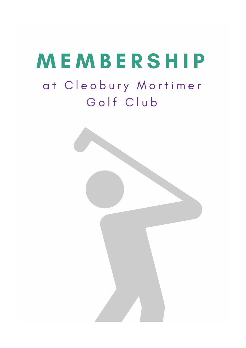# MEMBERSHIP

# at Cleobury Mortimer Golf Club

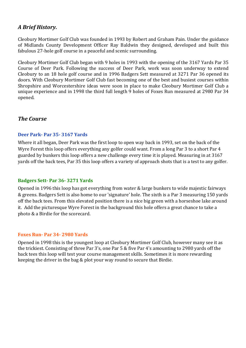## *A Brief History.*

Cleobury Mortimer Golf Club was founded in 1993 by Robert and Graham Pain. Under the guidance of Midlands County Development Officer Ray Baldwin they designed, developed and built this fabulous 27-hole golf course in a peaceful and scenic surrounding.

Cleobury Mortimer Golf Club began with 9 holes in 1993 with the opening of the 3167 Yards Par 35 Course of Deer Park. Following the success of Deer Park, work was soon underway to extend Cleobury to an 18 hole golf course and in 1996 Badgers Sett measured at 3271 Par 36 opened its doors. With Cleobury Mortimer Golf Club fast becoming one of the best and busiest courses within Shropshire and Worcestershire ideas were soon in place to make Cleobury Mortimer Golf Club a unique experience and in 1998 the third full length 9 holes of Foxes Run measured at 2980 Par 34 opened. 

### *The Course*

#### **Deer Park- Par 35- 3167 Yards**

Where it all began, Deer Park was the first loop to open way back in 1993, set on the back of the Wyre Forest this loop offers everything any golfer could want. From a long Par 3 to a short Par 4 guarded by bunkers this loop offers a new challenge every time it is played. Measuring in at 3167 yards off the back tees, Par 35 this loop offers a variety of approach shots that is a test to any golfer.

#### **Badgers Sett- Par 36- 3271 Yards**

Opened in 1996 this loop has got everything from water & large bunkers to wide majestic fairways & greens. Badgers Sett is also home to our 'signature' hole. The sixth is a Par 3 measuring 150 yards off the back tees. From this elevated position there is a nice big green with a horseshoe lake around it. Add the picturesque Wyre Forest in the background this hole offers a great chance to take a photo & a Birdie for the scorecard.

#### **Foxes Run- Par 34- 2980 Yards**

Opened in 1998 this is the youngest loop at Cleobury Mortimer Golf Club, however many see it as the trickiest. Consisting of three Par 3's, one Par 5  $&$  five Par 4's amounting to 2980 yards off the back tees this loop will test your course management skills. Sometimes it is more rewarding keeping the driver in the bag  $&$  plot your way round to secure that Birdie.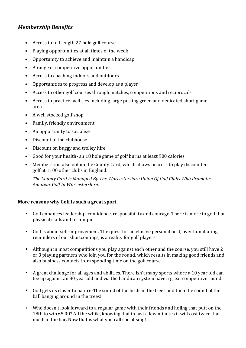# *Membership Benefits*

- Access to full length 27 hole golf course
- Playing opportunities at all times of the week
- Opportunity to achieve and maintain a handicap
- A range of competitive opportunities
- Access to coaching indoors and outdoors
- Opportunities to progress and develop as a player
- Access to other golf courses through matches, competitions and reciprocals
- Access to practice facilities including large putting green and dedicated short game area
- A well stocked golf shop
- Family, friendly environment
- An opportunity to socialise
- Discount in the clubhouse
- Discount on buggy and trolley hire
- Good for your health- an 18 hole game of golf burns at least 900 calories
- Members can also obtain the County Card, which allows bearers to play discounted golf at 1100 other clubs in England.

*The County Card Is Managed By The Worcestershire Union Of Golf Clubs Who Promotes Amateur Golf In Worcestershire.*

#### More reasons why Golf is such a great sport.

- Golf enhances leadership, confidence, responsibility and courage. There is more to golf than physical skills and technique!
- Golf is about self-improvement. The quest for an elusive personal best, over humiliating reminders of our shortcomings, is a reality for golf players.
- Although in most competitions you play against each other and the course, you still have 2 or 3 playing partners who join you for the round, which results in making good friends and also business contacts from spending time on the golf course.
- A great challenge for all ages and abilities. There isn't many sports where a 10 year old can tee up against an 80 year old and via the handicap system have a great competitive round!
- Golf gets us closer to nature-The sound of the birds in the trees and then the sound of the ball banging around in the trees!
- Who doesn't look forward to a regular game with their friends and holing that putt on the 18th to win £5.00? All the while, knowing that in just a few minutes it will cost twice that much in the bar. Now that is what you call socialising!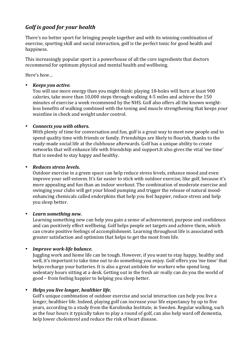# Golf is good for your health

There's no better sport for bringing people together and with its winning combination of exercise, sporting skill and social interaction, golf is the perfect tonic for good health and happiness.

This increasingly popular sport is a powerhouse of all the core ingredients that doctors recommend for optimum physical and mental health and wellbeing.

Here's how...

#### • *Keeps you active.*

You will use more energy than you might think: playing 18-holes will burn at least 900 calories, take more than  $10,000$  steps through walking  $4-5$  miles and achieve the  $150$ minutes of exercise a week recommend by the NHS. Golf also offers all the known weightloss benefits of walking combined with the toning and muscle strengthening that keeps your waistline in check and weight under control.

#### • *Connects you with others.*

With plenty of time for conversation and fun, golf is a great way to meet new people and to spend quality time with friends or family. Friendships are likely to flourish, thanks to the ready-made social life at the clubhouse afterwards. Golf has a unique ability to create networks that will enhance life with friendship and support. It also gives the vital 'me time' that is needed to stay happy and healthy.

#### • *Reduces stress levels.*

Outdoor exercise in a green space can help reduce stress levels, enhance mood and even improve vour self-esteem. It's far easier to stick with outdoor exercise, like golf, because it's more appealing and fun than an indoor workout. The combination of moderate exercise and swinging your clubs will get your blood pumping and trigger the release of natural moodenhancing chemicals called endorphins that help you feel happier, reduce stress and help you sleep better.

#### • *Learn something new.*

Learning something new can help you gain a sense of achievement, purpose and confidence and can positively effect wellbeing. Golf helps people set targets and achieve them, which can create positive feelings of accomplishment. Learning throughout life is associated with greater satisfaction and optimism that helps to get the most from life.

#### • *Improve work-life balance.*

Juggling work and home life can be tough. However, if you want to stay happy, healthy and well, it's important to take time out to do something you enjoy. Golf offers you 'me time' that helps recharge your batteries. It is also a great antidote for workers who spend long sedentary hours sitting at a desk. Getting out in the fresh air really can do you the world of good – from feeling happier to helping you sleep better.

#### • Helps you live longer, healthier life.

Golf's unique combination of outdoor exercise and social interaction can help you live a longer, healthier life. Indeed, playing golf can increase your life expectancy by up to five years, according to a study from the Karolinska Institute, in Sweden. Regular walking, such as the four hours it typically takes to play a round of golf, can also help ward off dementia, help lower cholesterol and reduce the risk of heart disease.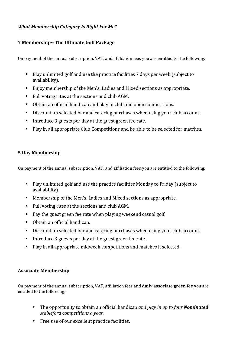#### *What Membership Category Is Right For Me?*

#### **7 Membership~ The Ultimate Golf Package**

On payment of the annual subscription, VAT, and affiliation fees you are entitled to the following:

- Play unlimited golf and use the practice facilities 7 days per week (subject to availability).
- Enjoy membership of the Men's, Ladies and Mixed sections as appropriate.
- Full voting rites at the sections and club AGM.
- Obtain an official handicap and play in club and open competitions.
- Discount on selected bar and catering purchases when using your club account.
- Introduce 3 guests per day at the guest green fee rate.
- Play in all appropriate Club Competitions and be able to be selected for matches.

#### **5 Day Membership**

On payment of the annual subscription, VAT, and affiliation fees you are entitled to the following:

- Play unlimited golf and use the practice facilities Monday to Friday (subject to availability).
- Membership of the Men's, Ladies and Mixed sections as appropriate.
- Full voting rites at the sections and club AGM.
- Pay the guest green fee rate when playing weekend casual golf.
- Obtain an official handicap.
- Discount on selected bar and catering purchases when using your club account.
- Introduce 3 guests per day at the guest green fee rate.
- Play in all appropriate midweek competitions and matches if selected.

#### **Associate Membership**

On payment of the annual subscription, VAT, affiliation fees and **daily associate green fee** you are entitled to the following:

- The opportunity to obtain an official handicap *and play in up to four Nominated stableford competitions a year.*
- Free use of our excellent practice facilities.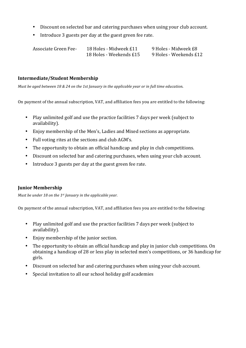- Discount on selected bar and catering purchases when using your club account.
- Introduce 3 guests per day at the guest green fee rate.

| Associate Green Fee- | 18 Holes - Midweek £11  | 9 Holes - Midweek £8   |
|----------------------|-------------------------|------------------------|
|                      | 18 Holes - Weekends £15 | 9 Holes - Weekends £12 |

#### **Intermediate/Student Membership**

Must be aged between 18 & 24 on the 1st January in the applicable year or in full time education.

On payment of the annual subscription, VAT, and affiliation fees you are entitled to the following:

- Play unlimited golf and use the practice facilities 7 days per week (subject to availability).
- Enjoy membership of the Men's, Ladies and Mixed sections as appropriate.
- Full voting rites at the sections and club AGM's.
- The opportunity to obtain an official handicap and play in club competitions.
- Discount on selected bar and catering purchases, when using your club account.
- Introduce 3 guests per day at the guest green fee rate.

#### **Junior Membership**

*Must be under 18 on the 1st January in the applicable year.*

On payment of the annual subscription, VAT, and affiliation fees you are entitled to the following:

- Play unlimited golf and use the practice facilities 7 days per week (subject to availability).
- Enjoy membership of the junior section.
- The opportunity to obtain an official handicap and play in junior club competitions. On obtaining a handicap of 28 or less play in selected men's competitions, or 36 handicap for girls.
- Discount on selected bar and catering purchases when using your club account.
- Special invitation to all our school holiday golf academies